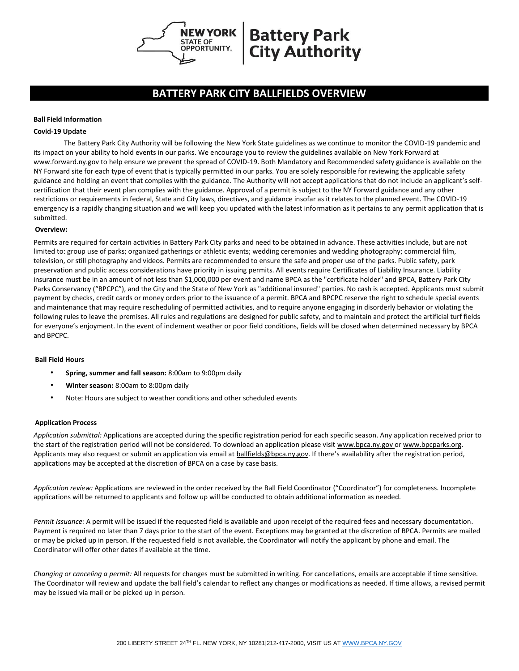

# **Battery Park City Authority**

## **BATTERY PARK CITY BALLFIELDS OVERVIEW**

#### **Ball Field Information**

#### **Covid-19 Update**

The Battery Park City Authority will be following the New York State guidelines as we continue to monitor the COVID-19 pandemic and its impact on your ability to hold events in our parks. We encourage you to review the guidelines available on New York Forward at www.forward.ny.gov to help ensure we prevent the spread of COVID-19. Both Mandatory and Recommended safety guidance is available on the NY Forward site for each type of event that is typically permitted in our parks. You are solely responsible for reviewing the applicable safety guidance and holding an event that complies with the guidance. The Authority will not accept applications that do not include an applicant's selfcertification that their event plan complies with the guidance. Approval of a permit is subject to the NY Forward guidance and any other restrictions or requirements in federal, State and City laws, directives, and guidance insofar as it relates to the planned event. The COVID-19 emergency is a rapidly changing situation and we will keep you updated with the latest information as it pertains to any permit application that is submitted.

#### **Overview:**

Permits are required for certain activities in Battery Park City parks and need to be obtained in advance. These activities include, but are not limited to: group use of parks; organized gatherings or athletic events; wedding ceremonies and wedding photography; commercial film, television, or still photography and videos. Permits are recommended to ensure the safe and proper use of the parks. Public safety, park preservation and public access considerations have priority in issuing permits. All events require Certificates of Liability Insurance. Liability insurance must be in an amount of not less than \$1,000,000 per event and name BPCA as the "certificate holder" and BPCA, Battery Park City Parks Conservancy ("BPCPC"), and the City and the State of New York as "additional insured" parties. No cash is accepted. Applicants must submit payment by checks, credit cards or money orders prior to the issuance of a permit. BPCA and BPCPC reserve the right to schedule special events and maintenance that may require rescheduling of permitted activities, and to require anyone engaging in disorderly behavior or violating the following rules to leave the premises. All rules and regulations are designed for public safety, and to maintain and protect the artificial turf fields for everyone's enjoyment. In the event of inclement weather or poor field conditions, fields will be closed when determined necessary by BPCA and BPCPC.

#### **Ball Field Hours**

- **Spring, summer and fall season:** 8:00am to 9:00pm daily
- **Winter season:** 8:00am to 8:00pm daily
- Note: Hours are subject to weather conditions and other scheduled events

#### **Application Process**

*Application submittal:* Applications are accepted during the specific registration period for each specific season. Any application received prior to the start of the registration period will not be considered. To download an application please visit [www.bpca.ny.gov or](http://www.bpca.ny.gov/) [www.bpcparks.org.](http://www.bpcparks.org/) Applicants may also request or submit an application via email at **ballfields@bpca.ny.gov**. If there's availability after the registration period, applications may be accepted at the discretion of BPCA on a case by case basis.

*Application review:* Applications are reviewed in the order received by the Ball Field Coordinator ("Coordinator") for completeness. Incomplete applications will be returned to applicants and follow up will be conducted to obtain additional information as needed.

*Permit Issuance:* A permit will be issued if the requested field is available and upon receipt of the required fees and necessary documentation. Payment is required no later than 7 days prior to the start of the event. Exceptions may be granted at the discretion of BPCA. Permits are mailed or may be picked up in person. If the requested field is not available, the Coordinator will notify the applicant by phone and email. The Coordinator will offer other dates if available at the time.

*Changing or canceling a permit:* All requests for changes must be submitted in writing. For cancellations, emails are acceptable if time sensitive. The Coordinator will review and update the ball field's calendar to reflect any changes or modifications as needed. If time allows, a revised permit may be issued via mail or be picked up in person.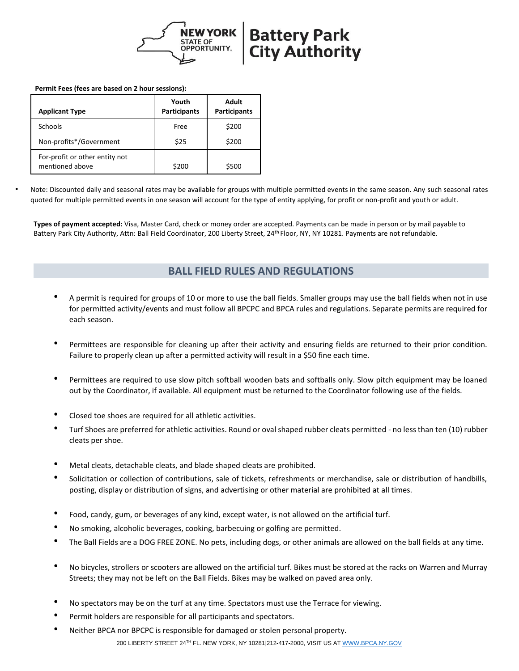

#### **Permit Fees (fees are based on 2 hour sessions):**

| <b>Applicant Type</b>                             | Youth<br><b>Participants</b> | Adult<br><b>Participants</b> |
|---------------------------------------------------|------------------------------|------------------------------|
| Schools                                           | Free                         | \$200                        |
| Non-profits*/Government                           | \$25                         | \$200                        |
| For-profit or other entity not<br>mentioned above | \$200                        | \$500                        |

• Note: Discounted daily and seasonal rates may be available for groups with multiple permitted events in the same season. Any such seasonal rates quoted for multiple permitted events in one season will account for the type of entity applying, for profit or non-profit and youth or adult.

**Types of payment accepted:** Visa, Master Card, check or money order are accepted. Payments can be made in person or by mail payable to Battery Park City Authority, Attn: Ball Field Coordinator, 200 Liberty Street, 24<sup>th</sup> Floor, NY, NY 10281. Payments are not refundable.

### **BALL FIELD RULES AND REGULATIONS**

- A permit is required for groups of 10 or more to use the ball fields. Smaller groups may use the ball fields when not in use for permitted activity/events and must follow all BPCPC and BPCA rules and regulations. Separate permits are required for each season.
- Permittees are responsible for cleaning up after their activity and ensuring fields are returned to their prior condition. Failure to properly clean up after a permitted activity will result in a \$50 fine each time.
- Permittees are required to use slow pitch softball wooden bats and softballs only. Slow pitch equipment may be loaned out by the Coordinator, if available. All equipment must be returned to the Coordinator following use of the fields.
- Closed toe shoes are required for all athletic activities.
- Turf Shoes are preferred for athletic activities. Round or oval shaped rubber cleats permitted no less than ten (10) rubber cleats per shoe.
- Metal cleats, detachable cleats, and blade shaped cleats are prohibited.
- Solicitation or collection of contributions, sale of tickets, refreshments or merchandise, sale or distribution of handbills, posting, display or distribution of signs, and advertising or other material are prohibited at all times.
- Food, candy, gum, or beverages of any kind, except water, is not allowed on the artificial turf.
- No smoking, alcoholic beverages, cooking, barbecuing or golfing are permitted.
- The Ball Fields are a DOG FREE ZONE. No pets, including dogs, or other animals are allowed on the ball fields at any time.
- No bicycles, strollers or scooters are allowed on the artificial turf. Bikes must be stored at the racks on Warren and Murray Streets; they may not be left on the Ball Fields. Bikes may be walked on paved area only.
- No spectators may be on the turf at any time. Spectators must use the Terrace for viewing.
- Permit holders are responsible for all participants and spectators.
- 200 LIBERTY STREET 24TH FL. NEW YORK, NY 10281|212-417-2000, VISIT US A[T WWW.BPCA.NY.GOV](http://www.bpca.ny.gov/) • Neither BPCA nor BPCPC is responsible for damaged or stolen personal property.